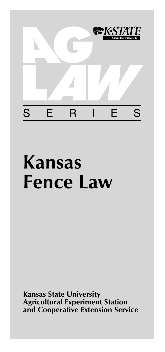

# **Kansas Fence Law**

**Kansas State University Agricultural Experiment Station and Cooperative Extension Service**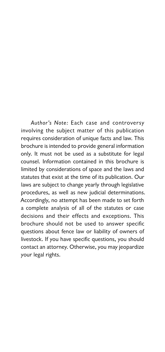Author's Note: Each case and controversy involving the subject matter of this publication requires consideration of unique facts and law. This brochure is intended to provide general information only. It must not be used as a substitute for legal counsel. Information contained in this brochure is limited by considerations of space and the laws and statutes that exist at the time of its publication. Our laws are subject to change yearly through legislative procedures, as well as new judicial determinations. Accordingly, no attempt has been made to set forth a complete analysis of all of the statutes or case decisions and their effects and exceptions. This brochure should not be used to answer specific questions about fence law or liability of owners of livestock. If you have specific questions, you should contact an attorney. Otherwise, you may jeopardize your legal rights.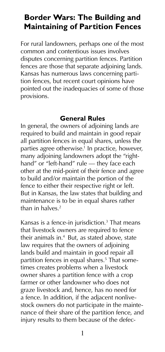## **Border Wars: The Building and Maintaining of Partition Fences**

For rural landowners, perhaps one of the most common and contentious issues involves disputes concerning partition fences. Partition fences are those that separate adjoining lands. Kansas has numerous laws concerning partition fences, but recent court opinions have pointed out the inadequacies of some of those provisions.

#### **General Rules**

In general, the owners of adjoining lands are required to build and maintain in good repair all partition fences in equal shares, unless the parties agree otherwise.<sup>1</sup> In practice, however, many adjoining landowners adopt the "righthand" or "left-hand" rule — they face each other at the mid-point of their fence and agree to build and/or maintain the portion of the fence to either their respective right or left. But in Kansas, the law states that building and maintenance is to be in equal shares rather than in halves  $2$ 

Kansas is a fence-in jurisdiction.<sup>3</sup> That means that livestock owners are required to fence their animals in.4 But, as stated above, state law requires that the owners of adjoining lands build and maintain in good repair all partition fences in equal shares.5 That sometimes creates problems when a livestock owner shares a partition fence with a crop farmer or other landowner who does not graze livestock and, hence, has no need for a fence. In addition, if the adjacent nonlivestock owners do not participate in the maintenance of their share of the partition fence, and injury results to them because of the defec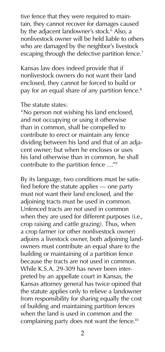tive fence that they were required to maintain, they cannot recover for damages caused by the adjacent landowner's stock.<sup>6</sup> Also, a nonlivestock owner will be held liable to others who are damaged by the neighbor's livestock escaping through the defective partition fence.<sup>7</sup>

Kansas law does indeed provide that if nonlivestock owners do not want their land enclosed, they cannot be forced to build or pay for an equal share of any partition fence.<sup>8</sup>

#### The statute states:

"No person not wishing his land enclosed, and not occupying or using it otherwise than in common, shall be compelled to contribute to erect or maintain any fence dividing between his land and that of an adjacent owner; but when he encloses or uses his land otherwise than in common, he shall contribute to the partition fence …"9

By its language, two conditions must be satisfied before the statute applies — one party must not want their land enclosed, and the adioining tracts must be used in common. Unfenced tracts are not used in common when they are used for different purposes (i.e., crop raising and cattle grazing). Thus, when a crop farmer (or other nonlivestock owner) adjoins a livestock owner, both adjoining landowners must contribute an equal share to the building or maintaining of a partition fence because the tracts are not used in common. While K.S.A. 29-309 has never been interpreted by an appellate court in Kansas, the Kansas attorney general has twice opined that the statute applies only to relieve a landowner from responsibility for sharing equally the cost of building and maintaining partition fences when the land is used in common and the complaining party does not want the fence.<sup>10</sup>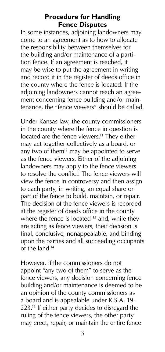#### **Procedure for Handling Fence Disputes**

In some instances, adjoining landowners may come to an agreement as to how to allocate the responsibility between themselves for the building and/or maintenance of a partition fence. If an agreement is reached, it may be wise to put the agreement in writing and record it in the register of deeds office in the county where the fence is located. If the adjoining landowners cannot reach an agreement concerning fence building and/or maintenance, the "fence viewers" should be called.

Under Kansas law, the county commissioners in the county where the fence in question is located are the fence viewers.<sup>11</sup> They either may act together collectively as a board, or any two of them<sup>12</sup> may be appointed to serve as the fence viewers. Either of the adjoining landowners may apply to the fence viewers to resolve the conflict. The fence viewers will view the fence in controversy and then assign to each party, in writing, an equal share or part of the fence to build, maintain, or repair. The decision of the fence viewers is recorded at the register of deeds office in the county where the fence is located  $13$  and, while they are acting as fence viewers, their decision is final, conclusive, nonappealable, and binding upon the parties and all succeeding occupants of the land.14

However, if the commissioners do not appoint "any two of them" to serve as the fence viewers, any decision concerning fence building and/or maintenance is deemed to be an opinion of the county commissioners as a board and is appealable under K.S.A. 19- 223.<sup>15</sup> If either party decides to disregard the ruling of the fence viewers, the other party may erect, repair, or maintain the entire fence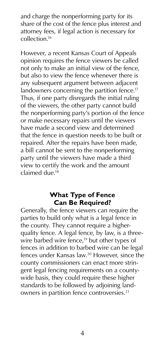and charge the nonperforming party for its share of the cost of the fence plus interest and attorney fees, if legal action is necessary for collection.16

However, a recent Kansas Court of Appeals opinion requires the fence viewers be called not only to make an initial view of the fence, but also to view the fence whenever there is any subsequent argument between adjacent landowners concerning the partition fence.<sup>17</sup> Thus, if one party disregards the initial ruling of the viewers, the other party cannot build the nonperforming party's portion of the fence or make necessary repairs until the viewers have made a second view and determined that the fence in question needs to be built or repaired. After the repairs have been made, a bill cannot be sent to the nonperforming party until the viewers have made a third view to certify the work and the amount claimed due.18

#### **What Type of Fence Can Be Required?**

Generally, the fence viewers can require the parties to build only what is a legal fence in the county. They cannot require a higherquality fence. A legal fence, by law, is a threewire barbed wire fence,<sup>19</sup> but other types of fences in addition to barbed wire can be legal fences under Kansas law.<sup>20</sup> However, since the county commissioners can enact more stringent legal fencing requirements on a countywide basis, they could require these higher standards to be followed by adjoining landowners in partition fence controversies.<sup>21</sup>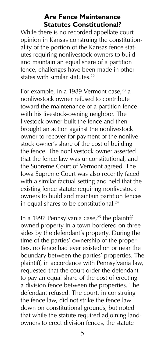#### **Are Fence Maintenance Statutes Constitutional?**

While there is no recorded appellate court opinion in Kansas construing the constitutionality of the portion of the Kansas fence statutes requiring nonlivestock owners to build and maintain an equal share of a partition fence, challenges have been made in other states with similar statutes.<sup>22</sup>

For example, in a 1989 Vermont case, $23$  a nonlivestock owner refused to contribute toward the maintenance of a partition fence with his livestock-owning neighbor. The livestock owner built the fence and then brought an action against the nonlivestock owner to recover for payment of the nonlivestock owner's share of the cost of building the fence. The nonlivestock owner asserted that the fence law was unconstitutional, and the Supreme Court of Vermont agreed. The Iowa Supreme Court was also recently faced with a similar factual setting and held that the existing fence statute requiring nonlivestock owners to build and maintain partition fences in equal shares to be constitutional.<sup>24</sup>

In a 1997 Pennsylvania case, $25$  the plaintiff owned property in a town bordered on three sides by the defendant's property. During the time of the parties' ownership of the properties, no fence had ever existed on or near the boundary between the parties' properties. The plaintiff, in accordance with Pennsylvania law, requested that the court order the defendant to pay an equal share of the cost of erecting a division fence between the properties. The defendant refused. The court, in construing the fence law, did not strike the fence law down on constitutional grounds, but noted that while the statute required adjoining landowners to erect division fences, the statute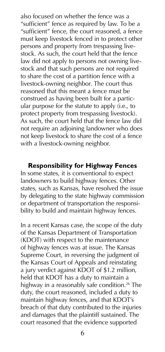also focused on whether the fence was a "sufficient" fence as required by law. To be a "sufficient" fence, the court reasoned, a fence must keep livestock fenced in to protect other persons and property from trespassing livestock. As such, the court held that the fence law did not apply to persons not owning livestock and that such persons are not required to share the cost of a partition fence with a livestock-owning neighbor. The court thus reasoned that this meant a fence must be construed as having been built for a particular purpose for the statute to apply (i.e., to protect property from trespassing livestock). As such, the court held that the fence law did not require an adjoining landowner who does not keep livestock to share the cost of a fence with a livestock-owning neighbor.

#### **Responsibility for Highway Fences**

In some states, it is conventional to expect landowners to build highway fences. Other states, such as Kansas, have resolved the issue by delegating to the state highway commission or department of transportation the responsibility to build and maintain highway fences.

In a recent Kansas case, the scope of the duty of the Kansas Department of Transportation (KDOT) with respect to the maintenance of highway fences was at issue. The Kansas Supreme Court, in reversing the judgment of the Kansas Court of Appeals and reinstating a jury verdict against KDOT of \$1.2 million, held that KDOT has a duty to maintain a highway in a reasonably safe condition.<sup>26</sup> The duty, the court reasoned, included a duty to maintain highway fences, and that KDOT's breach of that duty contributed to the injuries and damages that the plaintiff sustained. The court reasoned that the evidence supported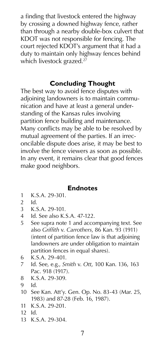a finding that livestock entered the highway by crossing a downed highway fence, rather than through a nearby double-box culvert that KDOT was not responsible for fencing. The court rejected KDOT's argument that it had a duty to maintain only highway fences behind which livestock grazed.<sup>27</sup>

#### **Concluding Thought**

The best way to avoid fence disputes with adjoining landowners is to maintain communication and have at least a general understanding of the Kansas rules involving partition fence building and maintenance. Many conflicts may be able to be resolved by mutual agreement of the parties. If an irreconcilable dispute does arise, it may be best to involve the fence viewers as soon as possible. In any event, it remains clear that good fences make good neighbors.

### **Endnotes**

- 1 K.S.A. 29-301.
- 2 Id.
- 3 K.S.A. 29-101.
- 4 Id. See also K.S.A. 47-122.
- 5 See supra note 1 and accompanying text. See also *Griffith* v. *Carrothers*, 86 Kan. 93 (1911) (intent of partition fence law is that adjoining landowners are under obligation to maintain partition fences in equal shares).
- 6 K.S.A. 29-401.
- 7 Id. See, e.g., *Smith* v. *Ott*, 100 Kan. 136, 163 Pac. 918 (1917).
- 8 K.S.A. 29-309.
- 9 Id.
- 10 See Kan. Att'y. Gen. Op. No. 83-43 (Mar. 25, 1983) and 87-28 (Feb. 16, 1987).
- 11 K.S.A. 29-201.
- 12 Id.
- 13 K.S.A. 29-304.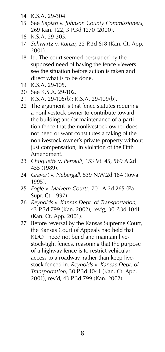- 14 K.S.A. 29-304.
- 15 See *Kaplan* v. *Johnson County Commissioners*, 269 Kan. 122, 3 P.3d 1270 (2000).
- 16 K.S.A. 29-305.
- 17 *Schwartz* v. *Kunze*, 22 P.3d 618 (Kan. Ct. App. 2001).
- 18 Id. The court seemed persuaded by the supposed need of having the fence viewers see the situation before action is taken and direct what is to be done.
- 19 K.S.A. 29-105.
- 20 See K.S.A. 29-102.
- 21 K.S.A. 29-105(b); K.S.A. 29-109(b).
- 22 The argument is that fence statutes requiring a nonlivestock owner to contribute toward the building and/or maintenance of a partition fence that the nonlivestock owner does not need or want constitutes a taking of the nonlivestock owner's private property without just compensation, in violation of the Fifth Amendment.
- 23 *Choquette* v. *Perrault*, 153 Vt. 45, 569 A.2d 455 (1989).
- 24 *Gravert* v. *Nebergall*, 539 N.W.2d 184 (Iowa 1995).
- 25 *Fogle* v. *Malvern Courts*, 701 A.2d 265 (Pa. Supr. Ct. 1997).
- 26 *Reynolds* v. *Kansas Dept. of Transportation*, 43 P.3d 799 (Kan. 2002), rev'g, 30 P.3d 1041 (Kan. Ct. App. 2001).
- 27 Before reversal by the Kansas Supreme Court, the Kansas Court of Appeals had held that KDOT need not build and maintain livestock-tight fences, reasoning that the purpose of a highway fence is to restrict vehicular access to a roadway, rather than keep livestock fenced in. *Reynolds* v. *Kansas Dept. of Transportation*, 30 P.3d 1041 (Kan. Ct. App. 2001), rev'd, 43 P.3d 799 (Kan. 2002).